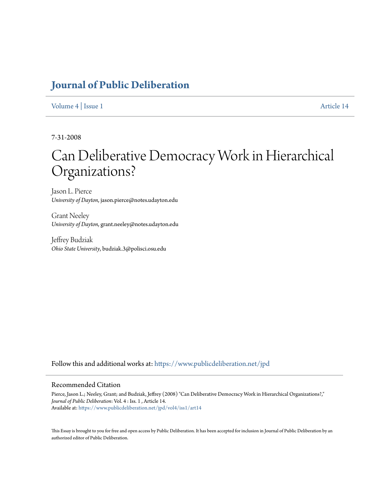# **[Journal of Public Deliberation](https://www.publicdeliberation.net/jpd?utm_source=www.publicdeliberation.net%2Fjpd%2Fvol4%2Fiss1%2Fart14&utm_medium=PDF&utm_campaign=PDFCoverPages)**

#### [Volume 4](https://www.publicdeliberation.net/jpd/vol4?utm_source=www.publicdeliberation.net%2Fjpd%2Fvol4%2Fiss1%2Fart14&utm_medium=PDF&utm_campaign=PDFCoverPages) | [Issue 1](https://www.publicdeliberation.net/jpd/vol4/iss1?utm_source=www.publicdeliberation.net%2Fjpd%2Fvol4%2Fiss1%2Fart14&utm_medium=PDF&utm_campaign=PDFCoverPages) [Article 14](https://www.publicdeliberation.net/jpd/vol4/iss1/art14?utm_source=www.publicdeliberation.net%2Fjpd%2Fvol4%2Fiss1%2Fart14&utm_medium=PDF&utm_campaign=PDFCoverPages)

7-31-2008

# Can Deliberative Democracy Work in Hierarchical Organizations?

Jason L. Pierce *University of Dayton*, jason.pierce@notes.udayton.edu

Grant Neeley *University of Dayton*, grant.neeley@notes.udayton.edu

Jeffrey Budziak *Ohio State University*, budziak.3@polisci.osu.edu

Follow this and additional works at: [https://www.publicdeliberation.net/jpd](https://www.publicdeliberation.net/jpd?utm_source=www.publicdeliberation.net%2Fjpd%2Fvol4%2Fiss1%2Fart14&utm_medium=PDF&utm_campaign=PDFCoverPages)

#### Recommended Citation

Pierce, Jason L.; Neeley, Grant; and Budziak, Jeffrey (2008) "Can Deliberative Democracy Work in Hierarchical Organizations?," *Journal of Public Deliberation*: Vol. 4 : Iss. 1 , Article 14. Available at: [https://www.publicdeliberation.net/jpd/vol4/iss1/art14](https://www.publicdeliberation.net/jpd/vol4/iss1/art14?utm_source=www.publicdeliberation.net%2Fjpd%2Fvol4%2Fiss1%2Fart14&utm_medium=PDF&utm_campaign=PDFCoverPages)

This Essay is brought to you for free and open access by Public Deliberation. It has been accepted for inclusion in Journal of Public Deliberation by an authorized editor of Public Deliberation.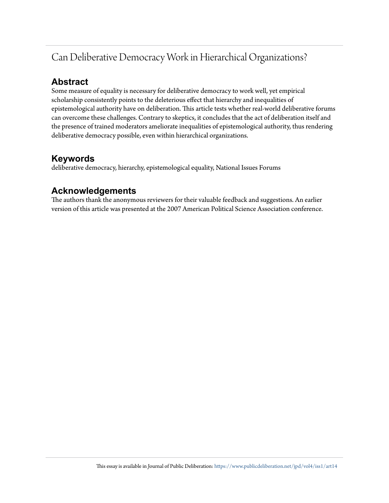# Can Deliberative Democracy Work in Hierarchical Organizations?

### **Abstract**

Some measure of equality is necessary for deliberative democracy to work well, yet empirical scholarship consistently points to the deleterious effect that hierarchy and inequalities of epistemological authority have on deliberation. This article tests whether real-world deliberative forums can overcome these challenges. Contrary to skeptics, it concludes that the act of deliberation itself and the presence of trained moderators ameliorate inequalities of epistemological authority, thus rendering deliberative democracy possible, even within hierarchical organizations.

### **Keywords**

deliberative democracy, hierarchy, epistemological equality, National Issues Forums

### **Acknowledgements**

The authors thank the anonymous reviewers for their valuable feedback and suggestions. An earlier version of this article was presented at the 2007 American Political Science Association conference.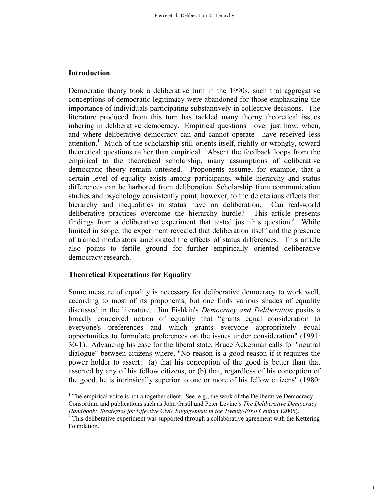#### **Introduction**

 $\overline{a}$ 

Democratic theory took a deliberative turn in the 1990s, such that aggregative conceptions of democratic legitimacy were abandoned for those emphasizing the importance of individuals participating substantively in collective decisions. The literature produced from this turn has tackled many thorny theoretical issues inhering in deliberative democracy. Empirical questions—over just how, when, and where deliberative democracy can and cannot operate—have received less attention.<sup>1</sup> Much of the scholarship still orients itself, rightly or wrongly, toward theoretical questions rather than empirical. Absent the feedback loops from the empirical to the theoretical scholarship, many assumptions of deliberative democratic theory remain untested. Proponents assume, for example, that a certain level of equality exists among participants, while hierarchy and status differences can be harbored from deliberation. Scholarship from communication studies and psychology consistently point, however, to the deleterious effects that hierarchy and inequalities in status have on deliberation. Can real-world deliberative practices overcome the hierarchy hurdle? This article presents findings from a deliberative experiment that tested just this question.<sup>2</sup> While limited in scope, the experiment revealed that deliberation itself and the presence of trained moderators ameliorated the effects of status differences. This article also points to fertile ground for further empirically oriented deliberative democracy research.

### **Theoretical Expectations for Equality**

Some measure of equality is necessary for deliberative democracy to work well, according to most of its proponents, but one finds various shades of equality discussed in the literature. Jim Fishkin's *Democracy and Deliberation* posits a broadly conceived notion of equality that "grants equal consideration to everyone's preferences and which grants everyone appropriately equal opportunities to formulate preferences on the issues under consideration" (1991: 30-1). Advancing his case for the liberal state, Bruce Ackerman calls for "neutral dialogue" between citizens where, "No reason is a good reason if it requires the power holder to assert: (a) that his conception of the good is better than that asserted by any of his fellow citizens, or (b) that, regardless of his conception of the good, he is intrinsically superior to one or more of his fellow citizens" (1980:

1

<sup>&</sup>lt;sup>1</sup> The empirical voice is not altogether silent. See, e.g., the work of the Deliberative Democracy Consortium and publications such as John Gastil and Peter Levine's *The Deliberative Democracy Handbook: Strategies for Effective Civic Engagement in the Twenty-First Century* (2005). 2

 $2$  This deliberative experiment was supported through a collaborative agreement with the Kettering Foundation.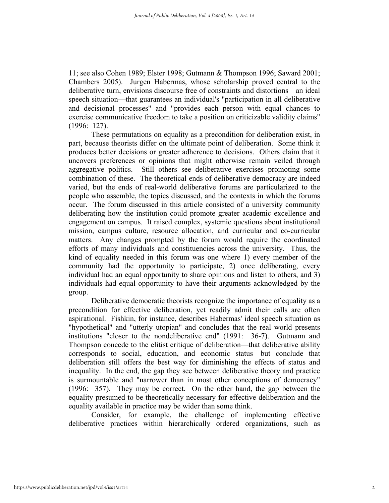11; see also Cohen 1989; Elster 1998; Gutmann & Thompson 1996; Saward 2001; Chambers 2005). Jurgen Habermas, whose scholarship proved central to the deliberative turn, envisions discourse free of constraints and distortions—an ideal speech situation—that guarantees an individual's "participation in all deliberative and decisional processes" and "provides each person with equal chances to exercise communicative freedom to take a position on criticizable validity claims" (1996: 127).

These permutations on equality as a precondition for deliberation exist, in part, because theorists differ on the ultimate point of deliberation. Some think it produces better decisions or greater adherence to decisions. Others claim that it uncovers preferences or opinions that might otherwise remain veiled through aggregative politics. Still others see deliberative exercises promoting some combination of these. The theoretical ends of deliberative democracy are indeed varied, but the ends of real-world deliberative forums are particularized to the people who assemble, the topics discussed, and the contexts in which the forums occur. The forum discussed in this article consisted of a university community deliberating how the institution could promote greater academic excellence and engagement on campus. It raised complex, systemic questions about institutional mission, campus culture, resource allocation, and curricular and co-curricular matters. Any changes prompted by the forum would require the coordinated efforts of many individuals and constituencies across the university. Thus, the kind of equality needed in this forum was one where 1) every member of the community had the opportunity to participate, 2) once deliberating, every individual had an equal opportunity to share opinions and listen to others, and 3) individuals had equal opportunity to have their arguments acknowledged by the group.

Deliberative democratic theorists recognize the importance of equality as a precondition for effective deliberation, yet readily admit their calls are often aspirational. Fishkin, for instance, describes Habermas' ideal speech situation as "hypothetical" and "utterly utopian" and concludes that the real world presents institutions "closer to the nondeliberative end" (1991: 36-7). Gutmann and Thompson concede to the elitist critique of deliberation—that deliberative ability corresponds to social, education, and economic status—but conclude that deliberation still offers the best way for diminishing the effects of status and inequality. In the end, the gap they see between deliberative theory and practice is surmountable and "narrower than in most other conceptions of democracy" (1996: 357). They may be correct. On the other hand, the gap between the equality presumed to be theoretically necessary for effective deliberation and the equality available in practice may be wider than some think.

 Consider, for example, the challenge of implementing effective deliberative practices within hierarchically ordered organizations, such as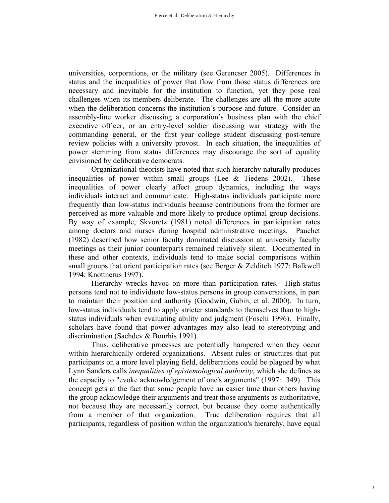universities, corporations, or the military (see Gerencser 2005). Differences in status and the inequalities of power that flow from those status differences are necessary and inevitable for the institution to function, yet they pose real challenges when its members deliberate. The challenges are all the more acute when the deliberation concerns the institution's purpose and future. Consider an assembly-line worker discussing a corporation's business plan with the chief executive officer, or an entry-level soldier discussing war strategy with the commanding general, or the first year college student discussing post-tenure review policies with a university provost. In each situation, the inequalities of power stemming from status differences may discourage the sort of equality envisioned by deliberative democrats.

Organizational theorists have noted that such hierarchy naturally produces inequalities of power within small groups (Lee & Tiedens 2002). These inequalities of power clearly affect group dynamics, including the ways individuals interact and communicate. High-status individuals participate more frequently than low-status individuals because contributions from the former are perceived as more valuable and more likely to produce optimal group decisions. By way of example, Skvoretz (1981) noted differences in participation rates among doctors and nurses during hospital administrative meetings. Pauchet (1982) described how senior faculty dominated discussion at university faculty meetings as their junior counterparts remained relatively silent. Documented in these and other contexts, individuals tend to make social comparisons within small groups that orient participation rates (see Berger & Zelditch 1977; Balkwell 1994; Knottnerus 1997).

Hierarchy wrecks havoc on more than participation rates. High-status persons tend not to individuate low-status persons in group conversations, in part to maintain their position and authority (Goodwin, Gubin, et al. 2000). In turn, low-status individuals tend to apply stricter standards to themselves than to highstatus individuals when evaluating ability and judgment (Foschi 1996). Finally, scholars have found that power advantages may also lead to stereotyping and discrimination (Sachdev & Bourhis 1991).

Thus, deliberative processes are potentially hampered when they occur within hierarchically ordered organizations. Absent rules or structures that put participants on a more level playing field, deliberations could be plagued by what Lynn Sanders calls *inequalities of epistemological authority*, which she defines as the capacity to "evoke acknowledgement of one's arguments" (1997: 349). This concept gets at the fact that some people have an easier time than others having the group acknowledge their arguments and treat those arguments as authoritative, not because they are necessarily correct, but because they come authentically from a member of that organization. True deliberation requires that all participants, regardless of position within the organization's hierarchy, have equal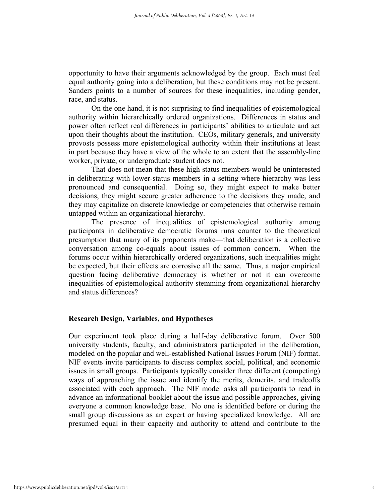opportunity to have their arguments acknowledged by the group. Each must feel equal authority going into a deliberation, but these conditions may not be present. Sanders points to a number of sources for these inequalities, including gender, race, and status.

On the one hand, it is not surprising to find inequalities of epistemological authority within hierarchically ordered organizations. Differences in status and power often reflect real differences in participants' abilities to articulate and act upon their thoughts about the institution. CEOs, military generals, and university provosts possess more epistemological authority within their institutions at least in part because they have a view of the whole to an extent that the assembly-line worker, private, or undergraduate student does not.

That does not mean that these high status members would be uninterested in deliberating with lower-status members in a setting where hierarchy was less pronounced and consequential. Doing so, they might expect to make better decisions, they might secure greater adherence to the decisions they made, and they may capitalize on discrete knowledge or competencies that otherwise remain untapped within an organizational hierarchy.

The presence of inequalities of epistemological authority among participants in deliberative democratic forums runs counter to the theoretical presumption that many of its proponents make—that deliberation is a collective conversation among co-equals about issues of common concern. When the forums occur within hierarchically ordered organizations, such inequalities might be expected, but their effects are corrosive all the same. Thus, a major empirical question facing deliberative democracy is whether or not it can overcome inequalities of epistemological authority stemming from organizational hierarchy and status differences?

#### **Research Design, Variables, and Hypotheses**

Our experiment took place during a half-day deliberative forum. Over 500 university students, faculty, and administrators participated in the deliberation, modeled on the popular and well-established National Issues Forum (NIF) format. NIF events invite participants to discuss complex social, political, and economic issues in small groups. Participants typically consider three different (competing) ways of approaching the issue and identify the merits, demerits, and tradeoffs associated with each approach. The NIF model asks all participants to read in advance an informational booklet about the issue and possible approaches, giving everyone a common knowledge base. No one is identified before or during the small group discussions as an expert or having specialized knowledge. All are presumed equal in their capacity and authority to attend and contribute to the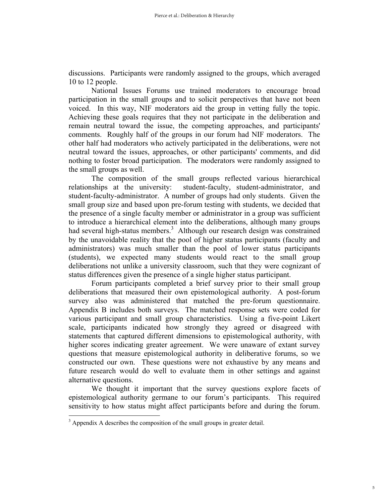discussions. Participants were randomly assigned to the groups, which averaged 10 to 12 people.

National Issues Forums use trained moderators to encourage broad participation in the small groups and to solicit perspectives that have not been voiced. In this way, NIF moderators aid the group in vetting fully the topic. Achieving these goals requires that they not participate in the deliberation and remain neutral toward the issue, the competing approaches, and participants' comments. Roughly half of the groups in our forum had NIF moderators. The other half had moderators who actively participated in the deliberations, were not neutral toward the issues, approaches, or other participants' comments, and did nothing to foster broad participation. The moderators were randomly assigned to the small groups as well.

The composition of the small groups reflected various hierarchical relationships at the university: student-faculty, student-administrator, and student-faculty-administrator. A number of groups had only students. Given the small group size and based upon pre-forum testing with students, we decided that the presence of a single faculty member or administrator in a group was sufficient to introduce a hierarchical element into the deliberations, although many groups had several high-status members.<sup>3</sup> Although our research design was constrained by the unavoidable reality that the pool of higher status participants (faculty and administrators) was much smaller than the pool of lower status participants (students), we expected many students would react to the small group deliberations not unlike a university classroom, such that they were cognizant of status differences given the presence of a single higher status participant.

Forum participants completed a brief survey prior to their small group deliberations that measured their own epistemological authority. A post-forum survey also was administered that matched the pre-forum questionnaire. Appendix B includes both surveys. The matched response sets were coded for various participant and small group characteristics. Using a five-point Likert scale, participants indicated how strongly they agreed or disagreed with statements that captured different dimensions to epistemological authority, with higher scores indicating greater agreement. We were unaware of extant survey questions that measure epistemological authority in deliberative forums, so we constructed our own. These questions were not exhaustive by any means and future research would do well to evaluate them in other settings and against alternative questions.

We thought it important that the survey questions explore facets of epistemological authority germane to our forum's participants. This required sensitivity to how status might affect participants before and during the forum.

 $\overline{a}$ 

 $3$  Appendix A describes the composition of the small groups in greater detail.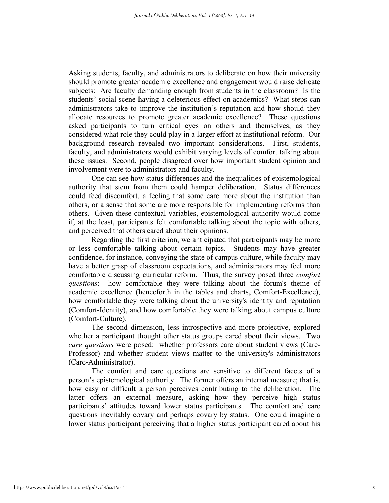Asking students, faculty, and administrators to deliberate on how their university should promote greater academic excellence and engagement would raise delicate subjects: Are faculty demanding enough from students in the classroom? Is the students' social scene having a deleterious effect on academics? What steps can administrators take to improve the institution's reputation and how should they allocate resources to promote greater academic excellence? These questions asked participants to turn critical eyes on others and themselves, as they considered what role they could play in a larger effort at institutional reform. Our background research revealed two important considerations. First, students, faculty, and administrators would exhibit varying levels of comfort talking about these issues. Second, people disagreed over how important student opinion and involvement were to administrators and faculty.

One can see how status differences and the inequalities of epistemological authority that stem from them could hamper deliberation. Status differences could feed discomfort, a feeling that some care more about the institution than others, or a sense that some are more responsible for implementing reforms than others. Given these contextual variables, epistemological authority would come if, at the least, participants felt comfortable talking about the topic with others, and perceived that others cared about their opinions.

Regarding the first criterion, we anticipated that participants may be more or less comfortable talking about certain topics. Students may have greater confidence, for instance, conveying the state of campus culture, while faculty may have a better grasp of classroom expectations, and administrators may feel more comfortable discussing curricular reform. Thus, the survey posed three *comfort questions*: how comfortable they were talking about the forum's theme of academic excellence (henceforth in the tables and charts, Comfort-Excellence), how comfortable they were talking about the university's identity and reputation (Comfort-Identity), and how comfortable they were talking about campus culture (Comfort-Culture).

The second dimension, less introspective and more projective, explored whether a participant thought other status groups cared about their views. Two *care questions* were posed: whether professors care about student views (Care-Professor) and whether student views matter to the university's administrators (Care-Administrator).

The comfort and care questions are sensitive to different facets of a person's epistemological authority. The former offers an internal measure; that is, how easy or difficult a person perceives contributing to the deliberation. The latter offers an external measure, asking how they perceive high status participants' attitudes toward lower status participants. The comfort and care questions inevitably covary and perhaps covary by status. One could imagine a lower status participant perceiving that a higher status participant cared about his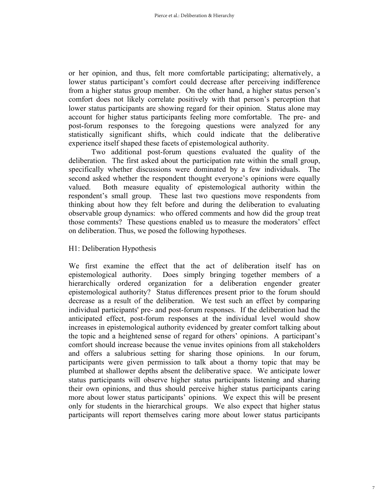or her opinion, and thus, felt more comfortable participating; alternatively, a lower status participant's comfort could decrease after perceiving indifference from a higher status group member. On the other hand, a higher status person's comfort does not likely correlate positively with that person's perception that lower status participants are showing regard for their opinion. Status alone may account for higher status participants feeling more comfortable. The pre- and post-forum responses to the foregoing questions were analyzed for any statistically significant shifts, which could indicate that the deliberative experience itself shaped these facets of epistemological authority.

Two additional post-forum questions evaluated the quality of the deliberation. The first asked about the participation rate within the small group, specifically whether discussions were dominated by a few individuals. The second asked whether the respondent thought everyone's opinions were equally valued. Both measure equality of epistemological authority within the respondent's small group. These last two questions move respondents from thinking about how they felt before and during the deliberation to evaluating observable group dynamics: who offered comments and how did the group treat those comments? These questions enabled us to measure the moderators' effect on deliberation. Thus, we posed the following hypotheses.

### H1: Deliberation Hypothesis

We first examine the effect that the act of deliberation itself has on epistemological authority. Does simply bringing together members of a hierarchically ordered organization for a deliberation engender greater epistemological authority? Status differences present prior to the forum should decrease as a result of the deliberation. We test such an effect by comparing individual participants' pre- and post-forum responses. If the deliberation had the anticipated effect, post-forum responses at the individual level would show increases in epistemological authority evidenced by greater comfort talking about the topic and a heightened sense of regard for others' opinions. A participant's comfort should increase because the venue invites opinions from all stakeholders and offers a salubrious setting for sharing those opinions. In our forum, participants were given permission to talk about a thorny topic that may be plumbed at shallower depths absent the deliberative space. We anticipate lower status participants will observe higher status participants listening and sharing their own opinions, and thus should perceive higher status participants caring more about lower status participants' opinions. We expect this will be present only for students in the hierarchical groups. We also expect that higher status participants will report themselves caring more about lower status participants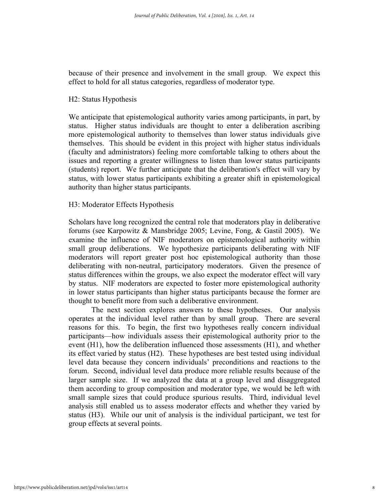because of their presence and involvement in the small group. We expect this effect to hold for all status categories, regardless of moderator type.

### H2: Status Hypothesis

We anticipate that epistemological authority varies among participants, in part, by status. Higher status individuals are thought to enter a deliberation ascribing more epistemological authority to themselves than lower status individuals give themselves. This should be evident in this project with higher status individuals (faculty and administrators) feeling more comfortable talking to others about the issues and reporting a greater willingness to listen than lower status participants (students) report. We further anticipate that the deliberation's effect will vary by status, with lower status participants exhibiting a greater shift in epistemological authority than higher status participants.

#### H3: Moderator Effects Hypothesis

Scholars have long recognized the central role that moderators play in deliberative forums (see Karpowitz & Mansbridge 2005; Levine, Fong, & Gastil 2005). We examine the influence of NIF moderators on epistemological authority within small group deliberations. We hypothesize participants deliberating with NIF moderators will report greater post hoc epistemological authority than those deliberating with non-neutral, participatory moderators. Given the presence of status differences within the groups, we also expect the moderator effect will vary by status. NIF moderators are expected to foster more epistemological authority in lower status participants than higher status participants because the former are thought to benefit more from such a deliberative environment.

The next section explores answers to these hypotheses. Our analysis operates at the individual level rather than by small group. There are several reasons for this. To begin, the first two hypotheses really concern individual participants—how individuals assess their epistemological authority prior to the event (H1), how the deliberation influenced those assessments (H1), and whether its effect varied by status (H2). These hypotheses are best tested using individual level data because they concern individuals' preconditions and reactions to the forum. Second, individual level data produce more reliable results because of the larger sample size. If we analyzed the data at a group level and disaggregated them according to group composition and moderator type, we would be left with small sample sizes that could produce spurious results. Third, individual level analysis still enabled us to assess moderator effects and whether they varied by status (H3). While our unit of analysis is the individual participant, we test for group effects at several points.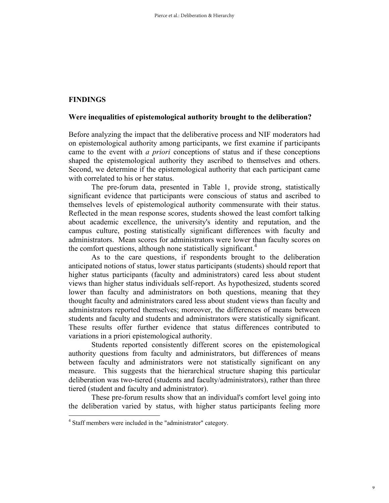### **FINDINGS**

#### **Were inequalities of epistemological authority brought to the deliberation?**

Before analyzing the impact that the deliberative process and NIF moderators had on epistemological authority among participants, we first examine if participants came to the event with *a priori* conceptions of status and if these conceptions shaped the epistemological authority they ascribed to themselves and others. Second, we determine if the epistemological authority that each participant came with correlated to his or her status.

The pre-forum data, presented in Table 1, provide strong, statistically significant evidence that participants were conscious of status and ascribed to themselves levels of epistemological authority commensurate with their status. Reflected in the mean response scores, students showed the least comfort talking about academic excellence, the university's identity and reputation, and the campus culture, posting statistically significant differences with faculty and administrators. Mean scores for administrators were lower than faculty scores on the comfort questions, although none statistically significant.<sup>4</sup>

As to the care questions, if respondents brought to the deliberation anticipated notions of status, lower status participants (students) should report that higher status participants (faculty and administrators) cared less about student views than higher status individuals self-report. As hypothesized, students scored lower than faculty and administrators on both questions, meaning that they thought faculty and administrators cared less about student views than faculty and administrators reported themselves; moreover, the differences of means between students and faculty and students and administrators were statistically significant. These results offer further evidence that status differences contributed to variations in a priori epistemological authority.

Students reported consistently different scores on the epistemological authority questions from faculty and administrators, but differences of means between faculty and administrators were not statistically significant on any measure. This suggests that the hierarchical structure shaping this particular deliberation was two-tiered (students and faculty/administrators), rather than three tiered (student and faculty and administrator).

These pre-forum results show that an individual's comfort level going into the deliberation varied by status, with higher status participants feeling more

 4 Staff members were included in the "administrator" category.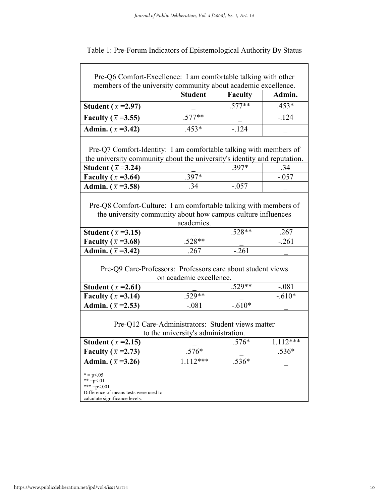| members of the university community about academic excellence.                        | <b>Student</b>                      | <b>Faculty</b> | Admin.         |
|---------------------------------------------------------------------------------------|-------------------------------------|----------------|----------------|
| Student ( $\bar{x}$ =2.97)                                                            |                                     | $.577**$       | $.453*$        |
| Faculty ( $\bar{x}$ =3.55)                                                            | $.577**$                            |                | $-124$         |
| Admin. $(\bar{x} = 3.42)$                                                             | $.453*$                             | $-124$         |                |
| Pre-Q7 Comfort-Identity: I am comfortable talking with members of                     |                                     |                |                |
| the university community about the university's identity and reputation.              |                                     |                |                |
| Student ( $\bar{x}$ =3.24)                                                            |                                     | $.397*$        | .34            |
| Faculty ( $\bar{x}$ =3.64)                                                            | .397*                               |                | $-.057$        |
| Admin. $(\bar{x} = 3.58)$                                                             | .34                                 | $-.057$        |                |
| Student ( $\bar{x}$ =3.15)<br>Faculty ( $\bar{x}$ =3.68)                              | $.528**$                            | $.528**$       | .267<br>$-261$ |
| the university community about how campus culture influences                          | academics.                          |                |                |
|                                                                                       |                                     |                |                |
| Admin. $(\bar{x} = 3.42)$                                                             | .267                                | $-.261$        |                |
| Pre-Q9 Care-Professors: Professors care about student views                           |                                     |                |                |
|                                                                                       | on academic excellence.             |                |                |
| Student ( $\bar{x}$ =2.61)                                                            |                                     | $.529**$       | $-.081$        |
| Faculty ( $\bar{x}$ =3.14)                                                            | $.529**$                            |                | $-.610*$       |
| Admin. $(\bar{x} = 2.53)$                                                             | $-.081$                             | $-.610*$       |                |
|                                                                                       |                                     |                |                |
| Pre-Q12 Care-Administrators: Student views matter                                     | to the university's administration. |                |                |
|                                                                                       |                                     | $.576*$        | $1.112***$     |
|                                                                                       |                                     |                | .536*          |
| Student ( $\bar{x}$ =2.15)<br>Faculty ( $\bar{x}$ =2.73)<br>Admin. $(\bar{x} = 3.26)$ | $.576*$<br>$1.112***$               | .536*          |                |

calculate significance levels.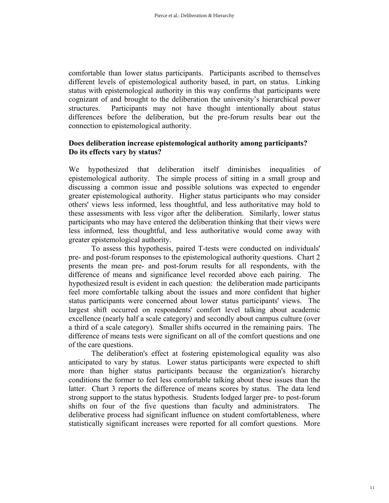comfortable than lower status participants. Participants ascribed to themselves different levels of epistemological authority based, in part, on status. Linking status with epistemological authority in this way confirms that participants were cognizant of and brought to the deliberation the university's hierarchical power structures. Participants may not have thought intentionally about status differences before the deliberation, but the pre-forum results bear out the connection to epistemological authority.

### **Does deliberation increase epistemological authority among participants? Do its effects vary by status?**

We hypothesized that deliberation itself diminishes inequalities of epistemological authority. The simple process of sitting in a small group and discussing a common issue and possible solutions was expected to engender greater epistemological authority. Higher status participants who may consider others' views less informed, less thoughtful, and less authoritative may hold to these assessments with less vigor after the deliberation. Similarly, lower status participants who may have entered the deliberation thinking that their views were less informed, less thoughtful, and less authoritative would come away with greater epistemological authority.

To assess this hypothesis, paired T-tests were conducted on individuals' pre- and post-forum responses to the epistemological authority questions. Chart 2 presents the mean pre- and post-forum results for all respondents, with the difference of means and significance level recorded above each pairing. The hypothesized result is evident in each question: the deliberation made participants feel more comfortable talking about the issues and more confident that higher status participants were concerned about lower status participants' views. The largest shift occurred on respondents' comfort level talking about academic excellence (nearly half a scale category) and secondly about campus culture (over a third of a scale category). Smaller shifts occurred in the remaining pairs. The difference of means tests were significant on all of the comfort questions and one of the care questions.

The deliberation's effect at fostering epistemological equality was also anticipated to vary by status. Lower status participants were expected to shift more than higher status participants because the organization's hierarchy conditions the former to feel less comfortable talking about these issues than the latter. Chart 3 reports the difference of means scores by status. The data lend strong support to the status hypothesis. Students lodged larger pre- to post-forum shifts on four of the five questions than faculty and administrators. The deliberative process had significant influence on student comfortableness, where statistically significant increases were reported for all comfort questions. More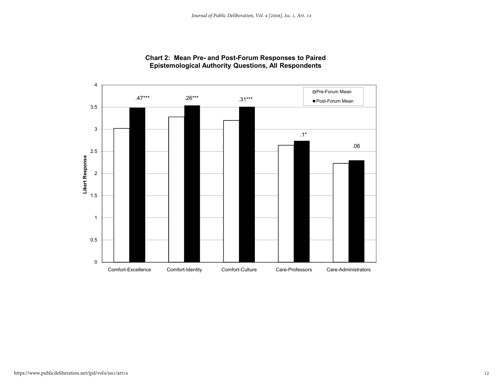

#### **Chart 2: Mean Pre- and Post-Forum Responses to Paired Epistemological Authority Questions, All Respondents**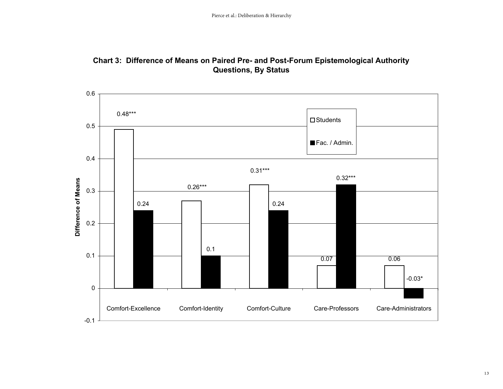

### **Chart 3: Difference of Means on Paired Pre- and Post-Forum Epistemological Authority Questions, By Status**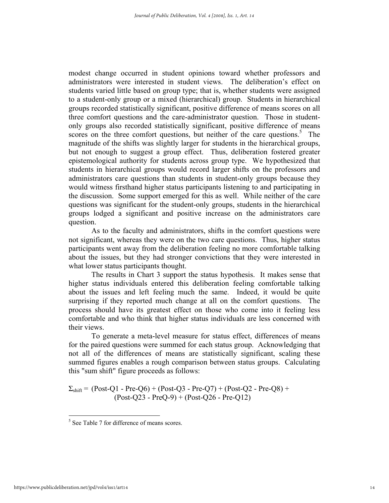modest change occurred in student opinions toward whether professors and administrators were interested in student views. The deliberation's effect on students varied little based on group type; that is, whether students were assigned to a student-only group or a mixed (hierarchical) group. Students in hierarchical groups recorded statistically significant, positive difference of means scores on all three comfort questions and the care-administrator question. Those in studentonly groups also recorded statistically significant, positive difference of means scores on the three comfort questions, but neither of the care questions. $5$  The magnitude of the shifts was slightly larger for students in the hierarchical groups, but not enough to suggest a group effect. Thus, deliberation fostered greater epistemological authority for students across group type. We hypothesized that students in hierarchical groups would record larger shifts on the professors and administrators care questions than students in student-only groups because they would witness firsthand higher status participants listening to and participating in the discussion. Some support emerged for this as well. While neither of the care questions was significant for the student-only groups, students in the hierarchical groups lodged a significant and positive increase on the administrators care question.

As to the faculty and administrators, shifts in the comfort questions were not significant, whereas they were on the two care questions. Thus, higher status participants went away from the deliberation feeling no more comfortable talking about the issues, but they had stronger convictions that they were interested in what lower status participants thought.

The results in Chart 3 support the status hypothesis. It makes sense that higher status individuals entered this deliberation feeling comfortable talking about the issues and left feeling much the same. Indeed, it would be quite surprising if they reported much change at all on the comfort questions. The process should have its greatest effect on those who come into it feeling less comfortable and who think that higher status individuals are less concerned with their views.

 To generate a meta-level measure for status effect, differences of means for the paired questions were summed for each status group. Acknowledging that not all of the differences of means are statistically significant, scaling these summed figures enables a rough comparison between status groups. Calculating this "sum shift" figure proceeds as follows:

 $\Sigma_{\text{shift}}$  = (Post-Q1 - Pre-Q6) + (Post-Q3 - Pre-Q7) + (Post-Q2 - Pre-Q8) +  $(Post-O23 - PreO-9) + (Post-O26 - Pre-O12)$ 

1

<sup>&</sup>lt;sup>5</sup> See Table 7 for difference of means scores.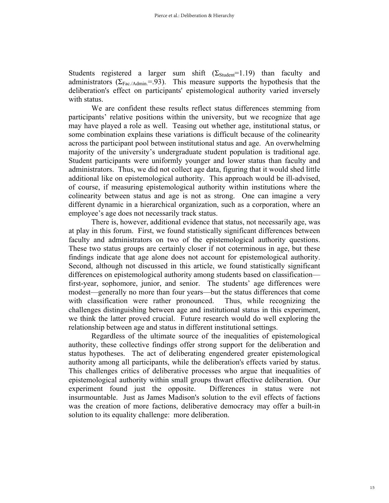Students registered a larger sum shift  $(\Sigma_{Student}=1.19)$  than faculty and administrators ( $\Sigma_{\text{Fac/Admin}}$ =.93). This measure supports the hypothesis that the deliberation's effect on participants' epistemological authority varied inversely with status.

We are confident these results reflect status differences stemming from participants' relative positions within the university, but we recognize that age may have played a role as well. Teasing out whether age, institutional status, or some combination explains these variations is difficult because of the colinearity across the participant pool between institutional status and age. An overwhelming majority of the university's undergraduate student population is traditional age. Student participants were uniformly younger and lower status than faculty and administrators. Thus, we did not collect age data, figuring that it would shed little additional like on epistemological authority. This approach would be ill-advised, of course, if measuring epistemological authority within institutions where the colinearity between status and age is not as strong. One can imagine a very different dynamic in a hierarchical organization, such as a corporation, where an employee's age does not necessarily track status.

There is, however, additional evidence that status, not necessarily age, was at play in this forum. First, we found statistically significant differences between faculty and administrators on two of the epistemological authority questions. These two status groups are certainly closer if not coterminous in age, but these findings indicate that age alone does not account for epistemological authority. Second, although not discussed in this article, we found statistically significant differences on epistemological authority among students based on classification first-year, sophomore, junior, and senior. The students' age differences were modest—generally no more than four years—but the status differences that come with classification were rather pronounced. Thus, while recognizing the challenges distinguishing between age and institutional status in this experiment, we think the latter proved crucial. Future research would do well exploring the relationship between age and status in different institutional settings.

Regardless of the ultimate source of the inequalities of epistemological authority, these collective findings offer strong support for the deliberation and status hypotheses. The act of deliberating engendered greater epistemological authority among all participants, while the deliberation's effects varied by status. This challenges critics of deliberative processes who argue that inequalities of epistemological authority within small groups thwart effective deliberation. Our experiment found just the opposite. Differences in status were not insurmountable. Just as James Madison's solution to the evil effects of factions was the creation of more factions, deliberative democracy may offer a built-in solution to its equality challenge: more deliberation.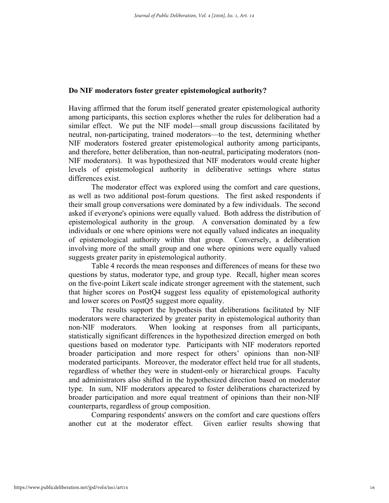#### **Do NIF moderators foster greater epistemological authority?**

Having affirmed that the forum itself generated greater epistemological authority among participants, this section explores whether the rules for deliberation had a similar effect. We put the NIF model—small group discussions facilitated by neutral, non-participating, trained moderators—to the test, determining whether NIF moderators fostered greater epistemological authority among participants, and therefore, better deliberation, than non-neutral, participating moderators (non-NIF moderators). It was hypothesized that NIF moderators would create higher levels of epistemological authority in deliberative settings where status differences exist.

The moderator effect was explored using the comfort and care questions, as well as two additional post-forum questions. The first asked respondents if their small group conversations were dominated by a few individuals. The second asked if everyone's opinions were equally valued. Both address the distribution of epistemological authority in the group. A conversation dominated by a few individuals or one where opinions were not equally valued indicates an inequality of epistemological authority within that group. Conversely, a deliberation involving more of the small group and one where opinions were equally valued suggests greater parity in epistemological authority.

 Table 4 records the mean responses and differences of means for these two questions by status, moderator type, and group type. Recall, higher mean scores on the five-point Likert scale indicate stronger agreement with the statement, such that higher scores on PostQ4 suggest less equality of epistemological authority and lower scores on PostQ5 suggest more equality.

The results support the hypothesis that deliberations facilitated by NIF moderators were characterized by greater parity in epistemological authority than non-NIF moderators. When looking at responses from all participants, statistically significant differences in the hypothesized direction emerged on both questions based on moderator type. Participants with NIF moderators reported broader participation and more respect for others' opinions than non-NIF moderated participants. Moreover, the moderator effect held true for all students, regardless of whether they were in student-only or hierarchical groups. Faculty and administrators also shifted in the hypothesized direction based on moderator type. In sum, NIF moderators appeared to foster deliberations characterized by broader participation and more equal treatment of opinions than their non-NIF counterparts, regardless of group composition.

Comparing respondents' answers on the comfort and care questions offers another cut at the moderator effect. Given earlier results showing that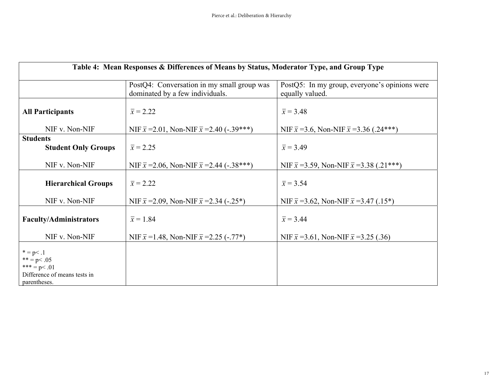| Table 4: Mean Responses & Differences of Means by Status, Moderator Type, and Group Type          |                                                                               |                                                                  |  |  |  |  |
|---------------------------------------------------------------------------------------------------|-------------------------------------------------------------------------------|------------------------------------------------------------------|--|--|--|--|
|                                                                                                   | PostQ4: Conversation in my small group was<br>dominated by a few individuals. | PostQ5: In my group, everyone's opinions were<br>equally valued. |  |  |  |  |
| <b>All Participants</b>                                                                           | $\bar{x} = 2.22$                                                              | $\bar{x} = 3.48$                                                 |  |  |  |  |
| NIF v. Non-NIF                                                                                    | NIF $\bar{x}$ = 2.01, Non-NIF $\bar{x}$ = 2.40 (-.39***)                      | NIF $\bar{x}$ = 3.6, Non-NIF $\bar{x}$ = 3.36 (.24***)           |  |  |  |  |
| <b>Students</b><br><b>Student Only Groups</b>                                                     | $\bar{x} = 2.25$                                                              | $\bar{x} = 3.49$                                                 |  |  |  |  |
| NIF v. Non-NIF                                                                                    | NIF $\bar{x}$ = 2.06, Non-NIF $\bar{x}$ = 2.44 (-.38***)                      | NIF $\bar{x}$ =3.59, Non-NIF $\bar{x}$ =3.38 (.21***)            |  |  |  |  |
| <b>Hierarchical Groups</b>                                                                        | $\overline{x}$ = 2.22                                                         | $\bar{x}$ = 3.54                                                 |  |  |  |  |
| NIF v. Non-NIF                                                                                    | NIF $\bar{x}$ = 2.09, Non-NIF $\bar{x}$ = 2.34 (-.25 <sup>*</sup> )           | NIF $\bar{x}$ =3.62, Non-NIF $\bar{x}$ =3.47 (.15*)              |  |  |  |  |
| <b>Faculty/Administrators</b>                                                                     | $\bar{x} = 1.84$                                                              | $\bar{x}$ = 3.44                                                 |  |  |  |  |
| NIF v. Non-NIF                                                                                    | NIF $\bar{x}$ =1.48, Non-NIF $\bar{x}$ =2.25 (-.77*)                          | NIF $\bar{x}$ = 3.61, Non-NIF $\bar{x}$ = 3.25 (.36)             |  |  |  |  |
| $* = p < .1$<br>$** = p < .05$<br>*** = $p$ < .01<br>Difference of means tests in<br>parentheses. |                                                                               |                                                                  |  |  |  |  |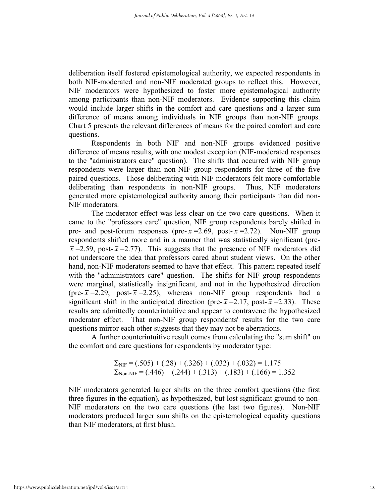deliberation itself fostered epistemological authority, we expected respondents in both NIF-moderated and non-NIF moderated groups to reflect this. However, NIF moderators were hypothesized to foster more epistemological authority among participants than non-NIF moderators. Evidence supporting this claim would include larger shifts in the comfort and care questions and a larger sum difference of means among individuals in NIF groups than non-NIF groups. Chart 5 presents the relevant differences of means for the paired comfort and care questions.

Respondents in both NIF and non-NIF groups evidenced positive difference of means results, with one modest exception (NIF-moderated responses to the "administrators care" question). The shifts that occurred with NIF group respondents were larger than non-NIF group respondents for three of the five paired questions. Those deliberating with NIF moderators felt more comfortable deliberating than respondents in non-NIF groups. Thus, NIF moderators generated more epistemological authority among their participants than did non-NIF moderators.

The moderator effect was less clear on the two care questions. When it came to the "professors care" question, NIF group respondents barely shifted in pre- and post-forum responses (pre- $\bar{x}$ =2.69, post- $\bar{x}$ =2.72). Non-NIF group respondents shifted more and in a manner that was statistically significant (pre- $\bar{x}$  =2.59, post- $\bar{x}$  =2.77). This suggests that the presence of NIF moderators did not underscore the idea that professors cared about student views. On the other hand, non-NIF moderators seemed to have that effect. This pattern repeated itself with the "administrators care" question. The shifts for NIF group respondents were marginal, statistically insignificant, and not in the hypothesized direction (pre- $\bar{x}$ =2.29, post- $\bar{x}$ =2.25), whereas non-NIF group respondents had a significant shift in the anticipated direction (pre- $\bar{x}$ =2.17, post- $\bar{x}$ =2.33). These results are admittedly counterintuitive and appear to contravene the hypothesized moderator effect. That non-NIF group respondents' results for the two care questions mirror each other suggests that they may not be aberrations.

A further counterintuitive result comes from calculating the "sum shift" on the comfort and care questions for respondents by moderator type:

$$
\Sigma_{\text{NIF}} = (.505) + (.28) + (.326) + (.032) + (.032) = 1.175
$$
  

$$
\Sigma_{\text{Non-NIF}} = (.446) + (.244) + (.313) + (.183) + (.166) = 1.352
$$

NIF moderators generated larger shifts on the three comfort questions (the first three figures in the equation), as hypothesized, but lost significant ground to non-NIF moderators on the two care questions (the last two figures). Non-NIF moderators produced larger sum shifts on the epistemological equality questions than NIF moderators, at first blush.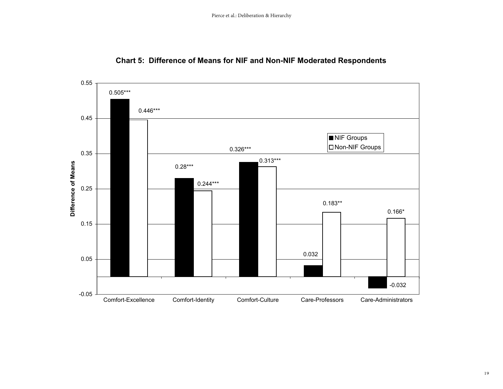

### **Chart 5: Difference of Means for NIF and Non-NIF Moderated Respondents**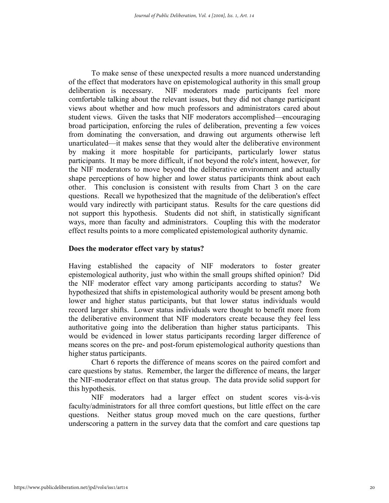To make sense of these unexpected results a more nuanced understanding of the effect that moderators have on epistemological authority in this small group deliberation is necessary. NIF moderators made participants feel more comfortable talking about the relevant issues, but they did not change participant views about whether and how much professors and administrators cared about student views. Given the tasks that NIF moderators accomplished—encouraging broad participation, enforcing the rules of deliberation, preventing a few voices from dominating the conversation, and drawing out arguments otherwise left unarticulated—it makes sense that they would alter the deliberative environment by making it more hospitable for participants, particularly lower status participants. It may be more difficult, if not beyond the role's intent, however, for the NIF moderators to move beyond the deliberative environment and actually shape perceptions of how higher and lower status participants think about each other. This conclusion is consistent with results from Chart 3 on the care questions. Recall we hypothesized that the magnitude of the deliberation's effect would vary indirectly with participant status. Results for the care questions did not support this hypothesis. Students did not shift, in statistically significant ways, more than faculty and administrators. Coupling this with the moderator effect results points to a more complicated epistemological authority dynamic.

### **Does the moderator effect vary by status?**

Having established the capacity of NIF moderators to foster greater epistemological authority, just who within the small groups shifted opinion? Did the NIF moderator effect vary among participants according to status? We hypothesized that shifts in epistemological authority would be present among both lower and higher status participants, but that lower status individuals would record larger shifts. Lower status individuals were thought to benefit more from the deliberative environment that NIF moderators create because they feel less authoritative going into the deliberation than higher status participants. This would be evidenced in lower status participants recording larger difference of means scores on the pre- and post-forum epistemological authority questions than higher status participants.

Chart 6 reports the difference of means scores on the paired comfort and care questions by status. Remember, the larger the difference of means, the larger the NIF-moderator effect on that status group. The data provide solid support for this hypothesis.

NIF moderators had a larger effect on student scores vis-à-vis faculty/administrators for all three comfort questions, but little effect on the care questions. Neither status group moved much on the care questions, further underscoring a pattern in the survey data that the comfort and care questions tap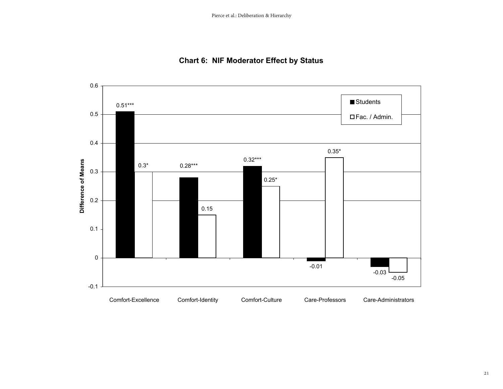

### **Chart 6: NIF Moderator Effect by Status**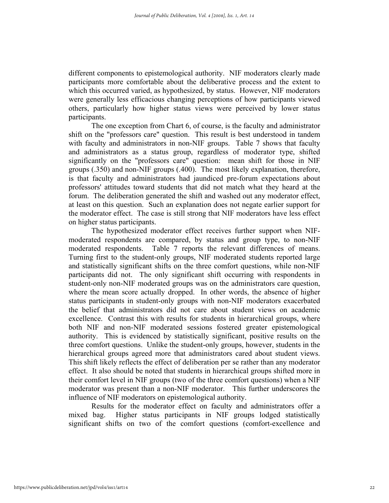different components to epistemological authority. NIF moderators clearly made participants more comfortable about the deliberative process and the extent to which this occurred varied, as hypothesized, by status. However, NIF moderators were generally less efficacious changing perceptions of how participants viewed others, particularly how higher status views were perceived by lower status participants.

The one exception from Chart 6, of course, is the faculty and administrator shift on the "professors care" question. This result is best understood in tandem with faculty and administrators in non-NIF groups. Table 7 shows that faculty and administrators as a status group, regardless of moderator type, shifted significantly on the "professors care" question: mean shift for those in NIF groups (.350) and non-NIF groups (.400). The most likely explanation, therefore, is that faculty and administrators had jaundiced pre-forum expectations about professors' attitudes toward students that did not match what they heard at the forum. The deliberation generated the shift and washed out any moderator effect, at least on this question. Such an explanation does not negate earlier support for the moderator effect. The case is still strong that NIF moderators have less effect on higher status participants.

The hypothesized moderator effect receives further support when NIFmoderated respondents are compared, by status and group type, to non-NIF moderated respondents. Table 7 reports the relevant differences of means. Turning first to the student-only groups, NIF moderated students reported large and statistically significant shifts on the three comfort questions, while non-NIF participants did not. The only significant shift occurring with respondents in student-only non-NIF moderated groups was on the administrators care question, where the mean score actually dropped. In other words, the absence of higher status participants in student-only groups with non-NIF moderators exacerbated the belief that administrators did not care about student views on academic excellence. Contrast this with results for students in hierarchical groups, where both NIF and non-NIF moderated sessions fostered greater epistemological authority. This is evidenced by statistically significant, positive results on the three comfort questions. Unlike the student-only groups, however, students in the hierarchical groups agreed more that administrators cared about student views. This shift likely reflects the effect of deliberation per se rather than any moderator effect. It also should be noted that students in hierarchical groups shifted more in their comfort level in NIF groups (two of the three comfort questions) when a NIF moderator was present than a non-NIF moderator. This further underscores the influence of NIF moderators on epistemological authority.

Results for the moderator effect on faculty and administrators offer a mixed bag. Higher status participants in NIF groups lodged statistically significant shifts on two of the comfort questions (comfort-excellence and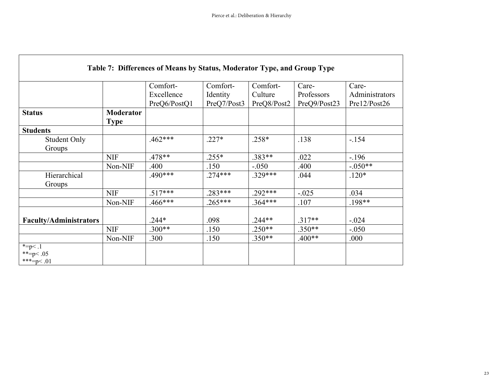|                               |                  | Comfort-     | Comfort-    | Comfort-    | Care-        | Care-          |
|-------------------------------|------------------|--------------|-------------|-------------|--------------|----------------|
|                               |                  | Excellence   | Identity    | Culture     | Professors   | Administrators |
|                               |                  | PreQ6/PostQ1 | PreQ7/Post3 | PreQ8/Post2 | PreQ9/Post23 | Pre12/Post26   |
| <b>Status</b>                 | <b>Moderator</b> |              |             |             |              |                |
|                               | <b>Type</b>      |              |             |             |              |                |
| <b>Students</b>               |                  |              |             |             |              |                |
| <b>Student Only</b>           |                  | $.462***$    | $.227*$     | $.258*$     | .138         | $-154$         |
| Groups                        |                  |              |             |             |              |                |
|                               | <b>NIF</b>       | $.478**$     | $.255*$     | $.383**$    | .022         | $-196$         |
|                               | Non-NIF          | .400         | .150        | $-.050$     | .400         | $-.050**$      |
| Hierarchical                  |                  | .490***      | $.274***$   | $.329***$   | .044         | $.120*$        |
| Groups                        |                  |              |             |             |              |                |
|                               | <b>NIF</b>       | $.517***$    | .283***     | $.292***$   | $-.025$      | .034           |
|                               | Non-NIF          | $.466***$    | $.265***$   | $.364***$   | .107         | $.198**$       |
|                               |                  |              |             |             |              |                |
| <b>Faculty/Administrators</b> |                  | $.244*$      | .098        | $.244**$    | $.317**$     | $-.024$        |
|                               | <b>NIF</b>       | $.300**$     | .150        | $.250**$    | $.350**$     | $-.050$        |
|                               | Non-NIF          | .300         | .150        | $.350**$    | $.400**$     | .000           |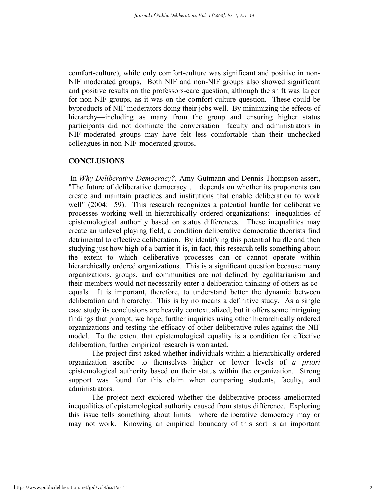comfort-culture), while only comfort-culture was significant and positive in non-NIF moderated groups. Both NIF and non-NIF groups also showed significant and positive results on the professors-care question, although the shift was larger for non-NIF groups, as it was on the comfort-culture question. These could be byproducts of NIF moderators doing their jobs well. By minimizing the effects of hierarchy—including as many from the group and ensuring higher status participants did not dominate the conversation—faculty and administrators in NIF-moderated groups may have felt less comfortable than their unchecked colleagues in non-NIF-moderated groups.

### **CONCLUSIONS**

 In *Why Deliberative Democracy?,* Amy Gutmann and Dennis Thompson assert, "The future of deliberative democracy … depends on whether its proponents can create and maintain practices and institutions that enable deliberation to work well" (2004: 59). This research recognizes a potential hurdle for deliberative processes working well in hierarchically ordered organizations: inequalities of epistemological authority based on status differences. These inequalities may create an unlevel playing field, a condition deliberative democratic theorists find detrimental to effective deliberation. By identifying this potential hurdle and then studying just how high of a barrier it is, in fact, this research tells something about the extent to which deliberative processes can or cannot operate within hierarchically ordered organizations. This is a significant question because many organizations, groups, and communities are not defined by egalitarianism and their members would not necessarily enter a deliberation thinking of others as coequals. It is important, therefore, to understand better the dynamic between deliberation and hierarchy. This is by no means a definitive study. As a single case study its conclusions are heavily contextualized, but it offers some intriguing findings that prompt, we hope, further inquiries using other hierarchically ordered organizations and testing the efficacy of other deliberative rules against the NIF model. To the extent that epistemological equality is a condition for effective deliberation, further empirical research is warranted.

The project first asked whether individuals within a hierarchically ordered organization ascribe to themselves higher or lower levels of *a priori* epistemological authority based on their status within the organization. Strong support was found for this claim when comparing students, faculty, and administrators.

The project next explored whether the deliberative process ameliorated inequalities of epistemological authority caused from status difference. Exploring this issue tells something about limits—where deliberative democracy may or may not work. Knowing an empirical boundary of this sort is an important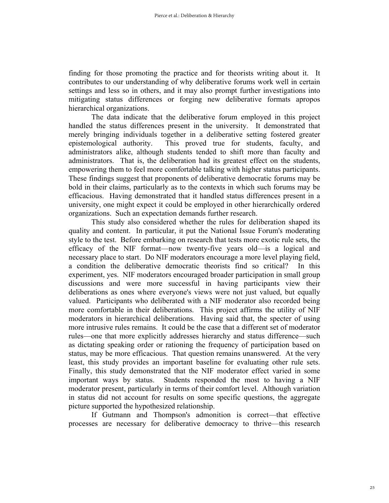finding for those promoting the practice and for theorists writing about it. It contributes to our understanding of why deliberative forums work well in certain settings and less so in others, and it may also prompt further investigations into mitigating status differences or forging new deliberative formats apropos hierarchical organizations.

The data indicate that the deliberative forum employed in this project handled the status differences present in the university. It demonstrated that merely bringing individuals together in a deliberative setting fostered greater epistemological authority. This proved true for students, faculty, and administrators alike, although students tended to shift more than faculty and administrators. That is, the deliberation had its greatest effect on the students, empowering them to feel more comfortable talking with higher status participants. These findings suggest that proponents of deliberative democratic forums may be bold in their claims, particularly as to the contexts in which such forums may be efficacious. Having demonstrated that it handled status differences present in a university, one might expect it could be employed in other hierarchically ordered organizations. Such an expectation demands further research.

This study also considered whether the rules for deliberation shaped its quality and content. In particular, it put the National Issue Forum's moderating style to the test. Before embarking on research that tests more exotic rule sets, the efficacy of the NIF format—now twenty-five years old—is a logical and necessary place to start. Do NIF moderators encourage a more level playing field, a condition the deliberative democratic theorists find so critical? In this experiment, yes. NIF moderators encouraged broader participation in small group discussions and were more successful in having participants view their deliberations as ones where everyone's views were not just valued, but equally valued. Participants who deliberated with a NIF moderator also recorded being more comfortable in their deliberations. This project affirms the utility of NIF moderators in hierarchical deliberations. Having said that, the specter of using more intrusive rules remains. It could be the case that a different set of moderator rules—one that more explicitly addresses hierarchy and status difference—such as dictating speaking order or rationing the frequency of participation based on status, may be more efficacious. That question remains unanswered. At the very least, this study provides an important baseline for evaluating other rule sets. Finally, this study demonstrated that the NIF moderator effect varied in some important ways by status. Students responded the most to having a NIF moderator present, particularly in terms of their comfort level. Although variation in status did not account for results on some specific questions, the aggregate picture supported the hypothesized relationship.

If Gutmann and Thompson's admonition is correct—that effective processes are necessary for deliberative democracy to thrive—this research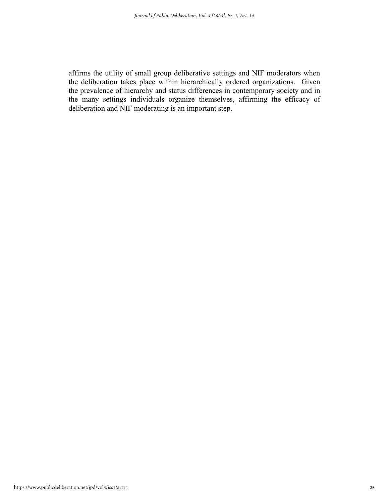affirms the utility of small group deliberative settings and NIF moderators when the deliberation takes place within hierarchically ordered organizations. Given the prevalence of hierarchy and status differences in contemporary society and in the many settings individuals organize themselves, affirming the efficacy of deliberation and NIF moderating is an important step.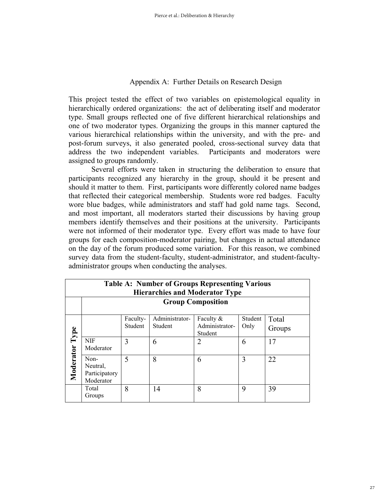### Appendix A: Further Details on Research Design

This project tested the effect of two variables on epistemological equality in hierarchically ordered organizations: the act of deliberating itself and moderator type. Small groups reflected one of five different hierarchical relationships and one of two moderator types. Organizing the groups in this manner captured the various hierarchical relationships within the university, and with the pre- and post-forum surveys, it also generated pooled, cross-sectional survey data that address the two independent variables. Participants and moderators were assigned to groups randomly.

Several efforts were taken in structuring the deliberation to ensure that participants recognized any hierarchy in the group, should it be present and should it matter to them. First, participants wore differently colored name badges that reflected their categorical membership. Students wore red badges. Faculty wore blue badges, while administrators and staff had gold name tags. Second, and most important, all moderators started their discussions by having group members identify themselves and their positions at the university. Participants were not informed of their moderator type. Every effort was made to have four groups for each composition-moderator pairing, but changes in actual attendance on the day of the forum produced some variation. For this reason, we combined survey data from the student-faculty, student-administrator, and student-facultyadministrator groups when conducting the analyses.

|           | <b>Table A: Number of Groups Representing Various</b><br><b>Hierarchies and Moderator Type</b> |                     |                           |                                        |                 |                 |  |  |
|-----------|------------------------------------------------------------------------------------------------|---------------------|---------------------------|----------------------------------------|-----------------|-----------------|--|--|
|           | <b>Group Composition</b>                                                                       |                     |                           |                                        |                 |                 |  |  |
| Type      |                                                                                                | Faculty-<br>Student | Administrator-<br>Student | Faculty &<br>Administrator-<br>Student | Student<br>Only | Total<br>Groups |  |  |
|           | <b>NIF</b><br>Moderator                                                                        | 3                   | 6                         | 2                                      | 6               | 17              |  |  |
| Moderator | Non-<br>Neutral,<br>Participatory<br>Moderator                                                 | 5                   | 8                         | 6                                      | 3               | 22              |  |  |
|           | Total<br>Groups                                                                                | 8                   | 14                        | 8                                      | 9               | 39              |  |  |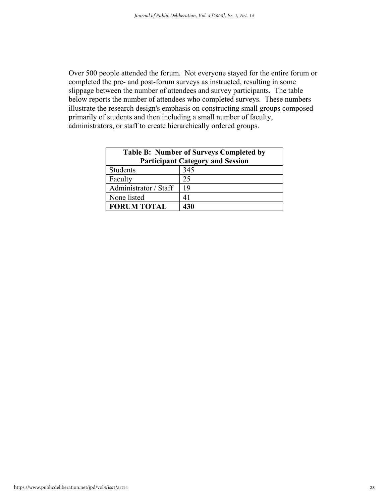Over 500 people attended the forum. Not everyone stayed for the entire forum or completed the pre- and post-forum surveys as instructed, resulting in some slippage between the number of attendees and survey participants. The table below reports the number of attendees who completed surveys. These numbers illustrate the research design's emphasis on constructing small groups composed primarily of students and then including a small number of faculty, administrators, or staff to create hierarchically ordered groups.

| <b>Table B: Number of Surveys Completed by</b><br><b>Participant Category and Session</b> |     |  |  |  |  |
|-------------------------------------------------------------------------------------------|-----|--|--|--|--|
| <b>Students</b>                                                                           | 345 |  |  |  |  |
| Faculty                                                                                   | 25  |  |  |  |  |
| Administrator / Staff                                                                     | 19  |  |  |  |  |
| None listed                                                                               | 41  |  |  |  |  |
| <b>FORUM TOTAL</b><br>430                                                                 |     |  |  |  |  |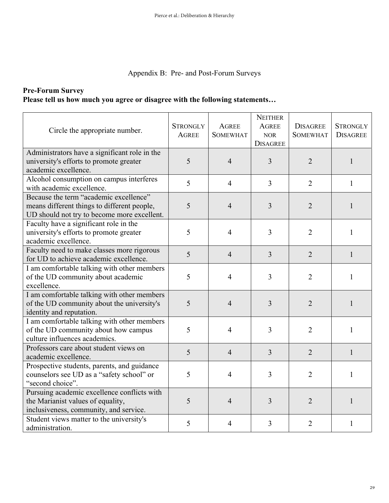### Appendix B: Pre- and Post-Forum Surveys

### **Pre-Forum Survey Please tell us how much you agree or disagree with the following statements…**

| Circle the appropriate number.                                                                                                       | <b>STRONGLY</b><br><b>AGREE</b> | <b>AGREE</b><br><b>SOMEWHAT</b> | <b>NEITHER</b><br><b>AGREE</b><br><b>NOR</b><br><b>DISAGREE</b> | <b>DISAGREE</b><br><b>SOMEWHAT</b> | <b>STRONGLY</b><br><b>DISAGREE</b> |
|--------------------------------------------------------------------------------------------------------------------------------------|---------------------------------|---------------------------------|-----------------------------------------------------------------|------------------------------------|------------------------------------|
| Administrators have a significant role in the<br>university's efforts to promote greater<br>academic excellence.                     | 5                               | $\overline{4}$                  | $\overline{3}$                                                  | $\overline{2}$                     | 1                                  |
| Alcohol consumption on campus interferes<br>with academic excellence.                                                                | 5                               | $\overline{4}$                  | $\overline{3}$                                                  | $\overline{2}$                     | $\mathbf{1}$                       |
| Because the term "academic excellence"<br>means different things to different people,<br>UD should not try to become more excellent. | 5                               | $\overline{4}$                  | 3                                                               | $\overline{2}$                     | $\mathbf{1}$                       |
| Faculty have a significant role in the<br>university's efforts to promote greater<br>academic excellence.                            | 5                               | $\overline{4}$                  | 3                                                               | $\overline{2}$                     | $\mathbf{1}$                       |
| Faculty need to make classes more rigorous<br>for UD to achieve academic excellence.                                                 | 5                               | $\overline{4}$                  | $\overline{3}$                                                  | $\overline{2}$                     | 1                                  |
| I am comfortable talking with other members<br>of the UD community about academic<br>excellence.                                     | 5                               | $\overline{4}$                  | 3                                                               | $\overline{2}$                     | $\mathbf{1}$                       |
| I am comfortable talking with other members<br>of the UD community about the university's<br>identity and reputation.                | 5                               | $\overline{4}$                  | 3                                                               | $\overline{2}$                     | 1                                  |
| I am comfortable talking with other members<br>of the UD community about how campus<br>culture influences academics.                 | 5                               | $\overline{4}$                  | 3                                                               | $\overline{2}$                     | 1                                  |
| Professors care about student views on<br>academic excellence.                                                                       | 5                               | $\overline{4}$                  | $\overline{3}$                                                  | $\overline{2}$                     | $\mathbf{1}$                       |
| Prospective students, parents, and guidance<br>counselors see UD as a "safety school" or<br>"second choice".                         | 5                               | 4                               | $\overline{3}$                                                  | $\overline{2}$                     | 1                                  |
| Pursuing academic excellence conflicts with<br>the Marianist values of equality,<br>inclusiveness, community, and service.           | 5                               | $\overline{4}$                  | $\overline{3}$                                                  | $\overline{2}$                     | $\mathbf{1}$                       |
| Student views matter to the university's<br>administration.                                                                          | 5                               | $\overline{4}$                  | 3                                                               | $\overline{2}$                     | 1                                  |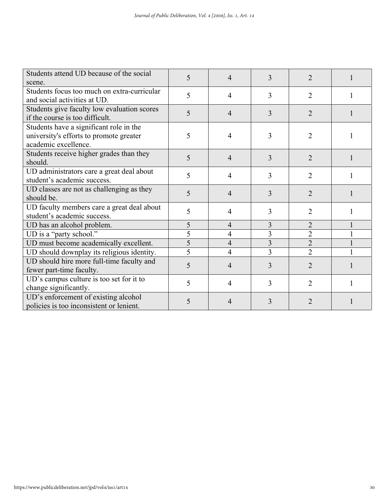| Students attend UD because of the social    | 5 | 4              | 3              | $\overline{2}$ |   |
|---------------------------------------------|---|----------------|----------------|----------------|---|
| scene.                                      |   |                |                |                |   |
| Students focus too much on extra-curricular | 5 | 4              | 3              | $\overline{2}$ |   |
| and social activities at UD.                |   |                |                |                |   |
| Students give faculty low evaluation scores | 5 | 4              | 3              | 2              |   |
| if the course is too difficult.             |   |                |                |                |   |
| Students have a significant role in the     |   |                |                |                |   |
| university's efforts to promote greater     | 5 | 4              | 3              | $\overline{2}$ |   |
| academic excellence.                        |   |                |                |                |   |
| Students receive higher grades than they    | 5 | 4              | 3              | $\overline{2}$ |   |
| should.                                     |   |                |                |                |   |
| UD administrators care a great deal about   | 5 | 4              | $\overline{3}$ | $\overline{2}$ |   |
| student's academic success.                 |   |                |                |                |   |
| UD classes are not as challenging as they   | 5 | 4              | 3              | $\overline{2}$ |   |
| should be.                                  |   |                |                |                |   |
| UD faculty members care a great deal about  | 5 | 4              | 3              | 2              | 1 |
| student's academic success.                 |   |                |                |                |   |
| UD has an alcohol problem.                  | 5 | 4              | 3              | $\overline{2}$ |   |
| UD is a "party school."                     | 5 | $\overline{4}$ | 3              | $\overline{2}$ |   |
| UD must become academically excellent.      | 5 | $\overline{4}$ | 3              | $\overline{2}$ |   |
| UD should downplay its religious identity.  | 5 | 4              | 3              | $\overline{2}$ |   |
| UD should hire more full-time faculty and   | 5 | 4              | 3              | $\overline{2}$ |   |
| fewer part-time faculty.                    |   |                |                |                |   |
| UD's campus culture is too set for it to    | 5 |                | 3              | $\overline{2}$ |   |
| change significantly.                       |   | 4              |                |                |   |
| UD's enforcement of existing alcohol        | 5 | 4              | 3              | 2              |   |
| policies is too inconsistent or lenient.    |   |                |                |                |   |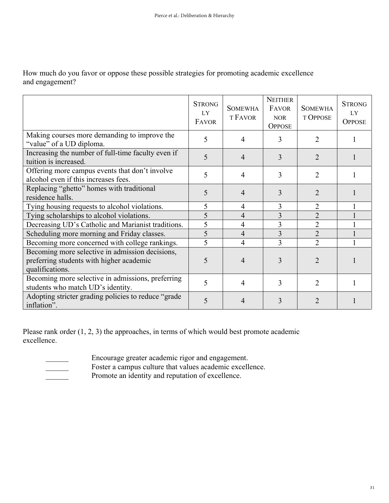How much do you favor or oppose these possible strategies for promoting academic excellence and engagement?

|                                                                                                                | <b>STRONG</b><br>LY<br>FAVOR | <b>SOMEWHA</b><br><b>T FAVOR</b> | <b>NEITHER</b><br><b>FAVOR</b><br><b>NOR</b><br><b>OPPOSE</b> | <b>SOMEWHA</b><br><b>T OPPOSE</b> | <b>STRONG</b><br>LY<br><b>OPPOSE</b> |
|----------------------------------------------------------------------------------------------------------------|------------------------------|----------------------------------|---------------------------------------------------------------|-----------------------------------|--------------------------------------|
| Making courses more demanding to improve the<br>"value" of a UD diploma.                                       | 5                            | 4                                | 3                                                             | $\mathfrak{D}$                    |                                      |
| Increasing the number of full-time faculty even if<br>tuition is increased.                                    | 5                            | 4                                | 3                                                             | $\overline{2}$                    |                                      |
| Offering more campus events that don't involve<br>alcohol even if this increases fees.                         | 5                            | 4                                | 3                                                             | 2                                 |                                      |
| Replacing "ghetto" homes with traditional<br>residence halls.                                                  | 5                            | 4                                | 3                                                             | 2                                 |                                      |
| Tying housing requests to alcohol violations.                                                                  | 5                            | 4                                | 3                                                             | $\overline{2}$                    |                                      |
| Tying scholarships to alcohol violations.                                                                      | 5                            | 4                                | 3                                                             | $\overline{2}$                    |                                      |
| Decreasing UD's Catholic and Marianist traditions.                                                             | 5                            | 4                                | 3                                                             | $\overline{2}$                    |                                      |
| Scheduling more morning and Friday classes.                                                                    | 5                            | $\overline{4}$                   | $\overline{3}$                                                | $\overline{2}$                    |                                      |
| Becoming more concerned with college rankings.                                                                 | 5                            | 4                                | $\overline{3}$                                                | $\overline{2}$                    |                                      |
| Becoming more selective in admission decisions,<br>preferring students with higher academic<br>qualifications. | 5                            | 4                                | 3                                                             | $\mathfrak{D}$                    |                                      |
| Becoming more selective in admissions, preferring<br>students who match UD's identity.                         | 5                            | 4                                | 3                                                             | $\overline{2}$                    |                                      |
| Adopting stricter grading policies to reduce "grade"<br>inflation".                                            | 5                            | 4                                | 3                                                             | 2                                 |                                      |

Please rank order  $(1, 2, 3)$  the approaches, in terms of which would best promote academic excellence.

\_\_\_\_\_\_ Encourage greater academic rigor and engagement.

- Foster a campus culture that values academic excellence.
- 

**EXECUTE:** Promote an identity and reputation of excellence.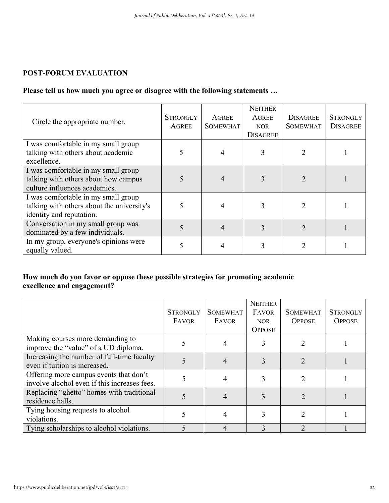### **POST-FORUM EVALUATION**

### **Please tell us how much you agree or disagree with the following statements …**

| Circle the appropriate number.                                                                                | <b>STRONGLY</b><br>AGREE | <b>AGREE</b><br><b>SOMEWHAT</b> | <b>NEITHER</b><br><b>AGREE</b><br><b>NOR</b><br><b>DISAGREE</b> | <b>DISAGREE</b><br><b>SOMEWHAT</b> | <b>STRONGLY</b><br><b>DISAGREE</b> |
|---------------------------------------------------------------------------------------------------------------|--------------------------|---------------------------------|-----------------------------------------------------------------|------------------------------------|------------------------------------|
| I was comfortable in my small group<br>talking with others about academic<br>excellence.                      |                          |                                 |                                                                 |                                    |                                    |
| I was comfortable in my small group<br>talking with others about how campus<br>culture influences academics.  |                          |                                 |                                                                 |                                    |                                    |
| I was comfortable in my small group<br>talking with others about the university's<br>identity and reputation. | 5                        |                                 |                                                                 |                                    |                                    |
| Conversation in my small group was<br>dominated by a few individuals.                                         | 5                        |                                 |                                                                 | $\mathcal{D}$                      |                                    |
| In my group, everyone's opinions were<br>equally valued.                                                      |                          |                                 |                                                                 |                                    |                                    |

### **How much do you favor or oppose these possible strategies for promoting academic excellence and engagement?**

|                                                                                        | <b>STRONGLY</b><br>FAVOR | <b>SOMEWHAT</b><br>FAVOR | <b>NEITHER</b><br><b>FAVOR</b><br>NOR.<br><b>OPPOSE</b> | <b>SOMEWHAT</b><br><b>OPPOSE</b> | <b>STRONGLY</b><br><b>OPPOSE</b> |
|----------------------------------------------------------------------------------------|--------------------------|--------------------------|---------------------------------------------------------|----------------------------------|----------------------------------|
| Making courses more demanding to<br>improve the "value" of a UD diploma.               |                          |                          |                                                         |                                  |                                  |
| Increasing the number of full-time faculty<br>even if tuition is increased.            |                          |                          |                                                         |                                  |                                  |
| Offering more campus events that don't<br>involve alcohol even if this increases fees. |                          |                          |                                                         |                                  |                                  |
| Replacing "ghetto" homes with traditional<br>residence halls.                          |                          |                          |                                                         |                                  |                                  |
| Tying housing requests to alcohol<br>violations.                                       |                          |                          |                                                         |                                  |                                  |
| Tying scholarships to alcohol violations.                                              |                          | 4                        |                                                         |                                  |                                  |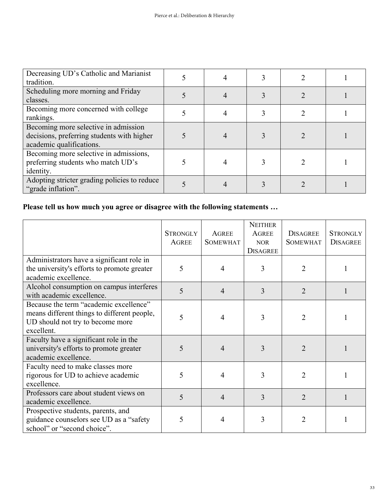| Decreasing UD's Catholic and Marianist<br>tradition.                                                           |  |  |  |
|----------------------------------------------------------------------------------------------------------------|--|--|--|
| Scheduling more morning and Friday<br>classes.                                                                 |  |  |  |
| Becoming more concerned with college<br>rankings.                                                              |  |  |  |
| Becoming more selective in admission<br>decisions, preferring students with higher<br>academic qualifications. |  |  |  |
| Becoming more selective in admissions,<br>preferring students who match UD's<br>identity.                      |  |  |  |
| Adopting stricter grading policies to reduce<br>"grade inflation".                                             |  |  |  |

## **Please tell us how much you agree or disagree with the following statements …**

|                                                                                                                                         | <b>STRONGLY</b><br><b>AGREE</b> | <b>AGREE</b><br><b>SOMEWHAT</b> | <b>NEITHER</b><br><b>AGREE</b><br><b>NOR</b><br><b>DISAGREE</b> | <b>DISAGREE</b><br><b>SOMEWHAT</b> | <b>STRONGLY</b><br><b>DISAGREE</b> |
|-----------------------------------------------------------------------------------------------------------------------------------------|---------------------------------|---------------------------------|-----------------------------------------------------------------|------------------------------------|------------------------------------|
| Administrators have a significant role in<br>the university's efforts to promote greater<br>academic excellence.                        | 5                               | $\overline{4}$                  | 3                                                               | $\overline{2}$                     |                                    |
| Alcohol consumption on campus interferes<br>with academic excellence.                                                                   | 5                               | $\overline{4}$                  | 3                                                               | $\overline{2}$                     |                                    |
| Because the term "academic excellence"<br>means different things to different people,<br>UD should not try to become more<br>excellent. | 5                               | 4                               | 3                                                               | $\overline{2}$                     |                                    |
| Faculty have a significant role in the<br>university's efforts to promote greater<br>academic excellence.                               | 5                               | $\overline{4}$                  | 3                                                               | $\overline{2}$                     |                                    |
| Faculty need to make classes more<br>rigorous for UD to achieve academic<br>excellence.                                                 | 5                               | 4                               | 3                                                               | $\overline{2}$                     |                                    |
| Professors care about student views on<br>academic excellence.                                                                          | 5                               | $\overline{4}$                  | 3                                                               | $\overline{2}$                     |                                    |
| Prospective students, parents, and<br>guidance counselors see UD as a "safety<br>school" or "second choice".                            | 5                               | 4                               | 3                                                               | 2                                  |                                    |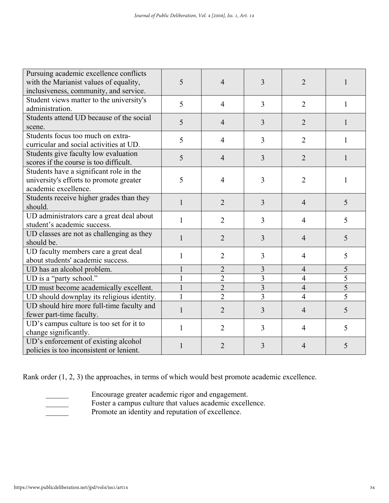| Pursuing academic excellence conflicts     |                |                |                |                |                |
|--------------------------------------------|----------------|----------------|----------------|----------------|----------------|
| with the Marianist values of equality,     | 5              | $\overline{4}$ | 3              | $\overline{2}$ |                |
| inclusiveness, community, and service.     |                |                |                |                |                |
| Student views matter to the university's   | 5              | $\overline{4}$ | 3              | $\overline{2}$ | 1              |
| administration.                            |                |                |                |                |                |
| Students attend UD because of the social   | 5              | $\overline{4}$ | 3              | $\overline{2}$ | 1              |
| scene.                                     |                |                |                |                |                |
| Students focus too much on extra-          | 5              | $\overline{4}$ | 3              | $\overline{2}$ | 1              |
| curricular and social activities at UD.    |                |                |                |                |                |
| Students give faculty low evaluation       | 5              | $\overline{4}$ | 3              | $\overline{2}$ | 1              |
| scores if the course is too difficult.     |                |                |                |                |                |
| Students have a significant role in the    |                |                |                |                |                |
| university's efforts to promote greater    | 5              | $\overline{4}$ | 3              | $\overline{2}$ | 1              |
| academic excellence.                       |                |                |                |                |                |
| Students receive higher grades than they   | $\mathbf{1}$   |                |                | $\overline{4}$ |                |
| should.                                    |                | $\overline{2}$ | 3              |                | 5              |
| UD administrators care a great deal about  | 1              | $\overline{2}$ | 3              | $\overline{4}$ | 5              |
| student's academic success.                |                |                |                |                |                |
| UD classes are not as challenging as they  | $\mathbf{1}$   | $\overline{2}$ | 3              | $\overline{4}$ | 5              |
| should be.                                 |                |                |                |                |                |
| UD faculty members care a great deal       | 1              | $\overline{2}$ | 3              | 4              | 5              |
| about students' academic success.          |                |                |                |                |                |
| UD has an alcohol problem.                 | $\mathbf{1}$   | $\overline{2}$ | $\overline{3}$ | $\overline{4}$ | 5              |
| UD is a "party school."                    | $\mathbf{1}$   | $\overline{2}$ | 3              | $\overline{4}$ | 5              |
| UD must become academically excellent.     | $\overline{1}$ | $\overline{2}$ | $\overline{3}$ | $\overline{4}$ | $\overline{5}$ |
| UD should downplay its religious identity. | $\mathbf{1}$   | $\overline{2}$ | 3              | $\overline{4}$ | $\overline{5}$ |
| UD should hire more full-time faculty and  | $\mathbf{1}$   | $\overline{2}$ | 3              | $\overline{4}$ | 5              |
| fewer part-time faculty.                   |                |                |                |                |                |
| UD's campus culture is too set for it to   | $\mathbf{1}$   | $\overline{2}$ | 3              | $\overline{4}$ | 5              |
| change significantly.                      |                |                |                |                |                |
| UD's enforcement of existing alcohol       | 1              | 2              | 3              | 4              | 5              |
| policies is too inconsistent or lenient.   |                |                |                |                |                |

Rank order (1, 2, 3) the approaches, in terms of which would best promote academic excellence.

- 
- \_\_\_\_\_\_ Encourage greater academic rigor and engagement.
- Foster a campus culture that values academic excellence.
- **EXECUTE:** Promote an identity and reputation of excellence.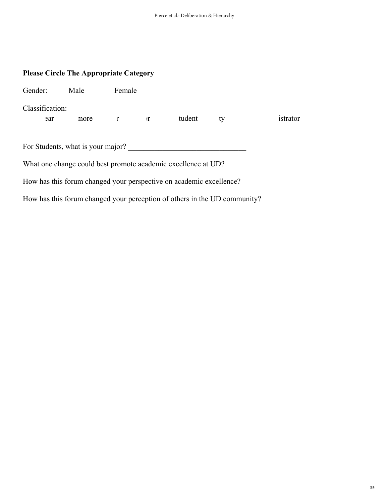### **Please Circle The Appropriate Category**

| Gender:         | Male                              | Female                |                                                                     |                                                                           |          |
|-----------------|-----------------------------------|-----------------------|---------------------------------------------------------------------|---------------------------------------------------------------------------|----------|
| Classification: |                                   |                       |                                                                     |                                                                           |          |
| ear             | more                              | $\Gamma$ and $\Gamma$ | tudent                                                              | ty                                                                        | istrator |
|                 |                                   |                       |                                                                     |                                                                           |          |
|                 | For Students, what is your major? |                       |                                                                     |                                                                           |          |
|                 |                                   |                       | What one change could best promote academic excellence at UD?       |                                                                           |          |
|                 |                                   |                       | How has this forum changed your perspective on academic excellence? |                                                                           |          |
|                 |                                   |                       |                                                                     | How has this forum changed your perception of others in the UD community? |          |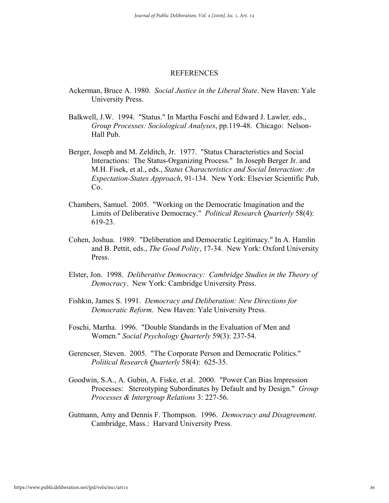#### REFERENCES

- Ackerman, Bruce A. 1980. *Social Justice in the Liberal State*. New Haven: Yale University Press.
- Balkwell, J.W. 1994. "Status." In Martha Foschi and Edward J. Lawler*,* eds., *Group Processes: Sociological Analyses*, pp.119-48. Chicago: Nelson-Hall Pub.
- Berger, Joseph and M. Zelditch, Jr. 1977. "Status Characteristics and Social Interactions: The Status-Organizing Process." In Joseph Berger Jr. and M.H. Fisek, et al., eds., *Status Characteristics and Social Interaction: An Expectation-States Approach*, 91-134. New York: Elsevier Scientific Pub. Co.
- Chambers, Samuel. 2005. "Working on the Democratic Imagination and the Limits of Deliberative Democracy." *Political Research Quarterly* 58(4): 619-23.
- Cohen, Joshua. 1989. "Deliberation and Democratic Legitimacy." In A. Hamlin and B. Pettit, eds., *The Good Polity*, 17-34. New York: Oxford University Press.
- Elster, Jon. 1998. *Deliberative Democracy: Cambridge Studies in the Theory of Democracy*. New York: Cambridge University Press.
- Fishkin, James S. 1991. *Democracy and Deliberation: New Directions for Democratic Reform*. New Haven: Yale University Press.
- Foschi, Martha. 1996. "Double Standards in the Evaluation of Men and Women." *Social Psychology Quarterly* 59(3): 237-54.
- Gerencser, Steven. 2005. "The Corporate Person and Democratic Politics." *Political Research Quarterly* 58(4): 625-35.
- Goodwin, S.A., A. Gubin, A. Fiske, et al. 2000. "Power Can Bias Impression Processes: Stereotyping Subordinates by Default and by Design." *Group Processes & Intergroup Relations* 3: 227-56.
- Gutmann, Amy and Dennis F. Thompson. 1996. *Democracy and Disagreement*. Cambridge, Mass.: Harvard University Press.